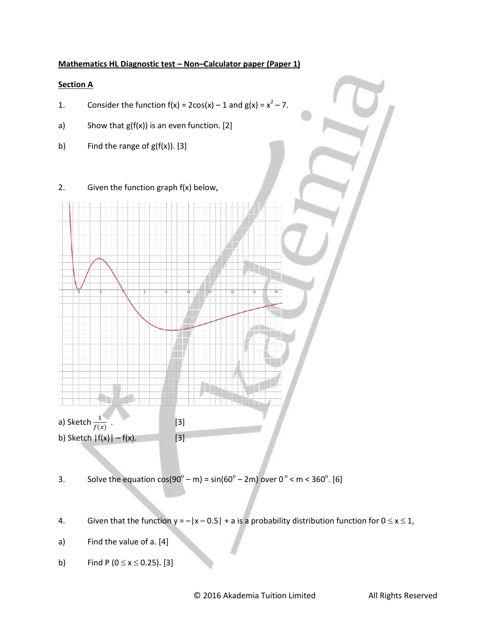### **Mathematics HL Diagnostic test – Non–Calculator paper (Paper 1)**

### **Section A**

- 1. Consider the function  $f(x) = 2\cos(x) 1$  and  $g(x) = x^2 7$ .
- a) Show that  $g(f(x))$  is an even function. [2]
- b) Find the range of  $g(f(x))$ . [3]
- 2. Given the function graph f(x) below,



3. Solve the equation  $cos(90^{\circ} - m) = sin(60^{\circ} - 2m)$  over  $0^{\circ} < m < 360^{\circ}$ . [6]

- 4. Given that the function  $y = -|x 0.5| + a$  is a probability distribution function for  $0 \le x \le 1$ ,
- a) Find the value of a. [4]
- b) Find P ( $0 \le x \le 0.25$ ). [3]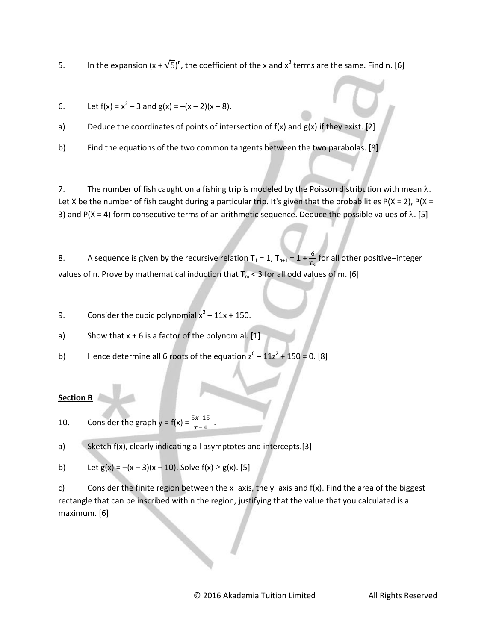5. In the expansion  $(x + \sqrt{5})^n$ , the coefficient of the x and  $x^3$  terms are the same. Find n. [6]

6. Let  $f(x) = x^2 - 3$  and  $g(x) = -(x - 2)(x - 8)$ .

a) Deduce the coordinates of points of intersection of  $f(x)$  and  $g(x)$  if they exist. [2]

b) Find the equations of the two common tangents between the two parabolas. [8]

7. The number of fish caught on a fishing trip is modeled by the Poisson distribution with mean  $\lambda$ . Let X be the number of fish caught during a particular trip. It's given that the probabilities  $P(X = 2)$ ,  $P(X = 1)$ 3) and P(X = 4) form consecutive terms of an arithmetic sequence. Deduce the possible values of  $\lambda$ . [5]

8. A sequence is given by the recursive relation T<sub>1</sub> = 1, T<sub>n+1</sub> = 1 +  $\frac{0}{T_n}$  for all other positive–integer values of n. Prove by mathematical induction that  $T_m < 3$  for all odd values of m. [6]

9. Consider the cubic polynomial  $x^3 - 11x + 150$ .

a) Show that  $x + 6$  is a factor of the polynomial. [1]

b) Hence determine all 6 roots of the equation  $z^6 - 11z^2 + 150 = 0$ . [8]

# **Section B**

10. Consider the graph  $y = f(x) = \frac{5x-15}{x-4}$ .

a) Sketch f(x), clearly indicating all asymptotes and intercepts.[3]

b) Let  $g(x) = -(x - 3)(x - 10)$ . Solve  $f(x) \ge g(x)$ . [5]

c) Consider the finite region between the x–axis, the y–axis and  $f(x)$ . Find the area of the biggest rectangle that can be inscribed within the region, justifying that the value that you calculated is a maximum. [6]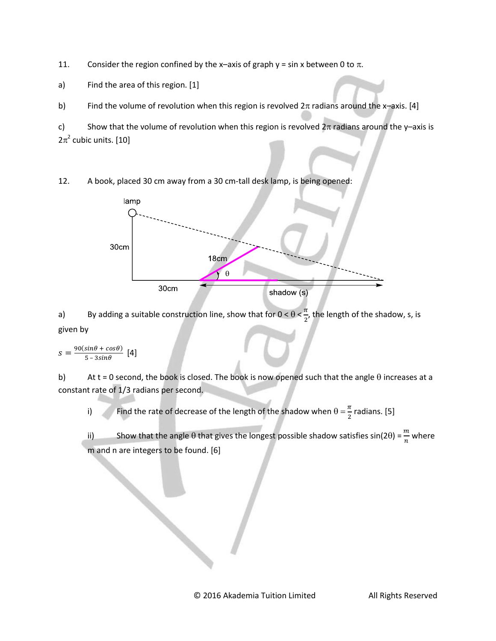11. Consider the region confined by the x-axis of graph  $y = \sin x$  between 0 to  $\pi$ .

a) Find the area of this region. [1]

b) Find the volume of revolution when this region is revolved  $2\pi$  radians around the x-axis. [4]

c) Show that the volume of revolution when this region is revolved  $2\pi$  radians around the y-axis is  $2\pi^2$  cubic units. [10]

12. A book, placed 30 cm away from a 30 cm-tall desk lamp, is being opened:



a) By adding a suitable construction line, show that for  $0 < \theta < \frac{\pi}{2}$  $\frac{\pi}{2}$ , the length of the shadow, s, is given by

$$
s = \frac{90(\sin\theta + \cos\theta)}{5 - 3\sin\theta} \quad [4]
$$

b) At t = 0 second, the book is closed. The book is now opened such that the angle  $\theta$  increases at a constant rate of 1/3 radians per second.

i) Find the rate of decrease of the length of the shadow when  $\theta = \frac{\pi}{2}$  radians. [5]

ii) Show that the angle  $\theta$  that gives the longest possible shadow satisfies sin(2 $\theta$ ) =  $\frac{m}{n}$  where m and n are integers to be found. [6]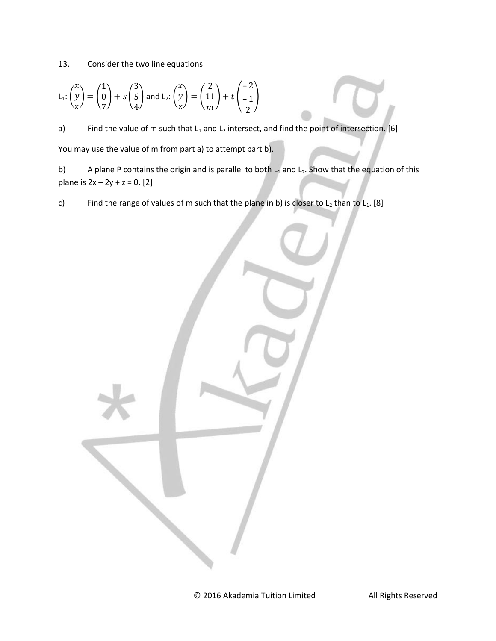13. Consider the two line equations

$$
L_1: \begin{pmatrix} x \\ y \\ z \end{pmatrix} = \begin{pmatrix} 1 \\ 0 \\ 7 \end{pmatrix} + s \begin{pmatrix} 3 \\ 5 \\ 4 \end{pmatrix} \text{ and } L_2: \begin{pmatrix} x \\ y \\ z \end{pmatrix} = \begin{pmatrix} 2 \\ 11 \\ m \end{pmatrix} + t \begin{pmatrix} -2 \\ -1 \\ 2 \end{pmatrix}
$$

a) Find the value of m such that  $L_1$  and  $L_2$  intersect, and find the point of intersection. [6] You may use the value of m from part a) to attempt part b).

b) A plane P contains the origin and is parallel to both  $L_1$  and  $L_2$ . Show that the equation of this plane is  $2x - 2y + z = 0$ . [2]

c) Find the range of values of m such that the plane in b) is closer to  $L_2$  than to  $L_1$ . [8]

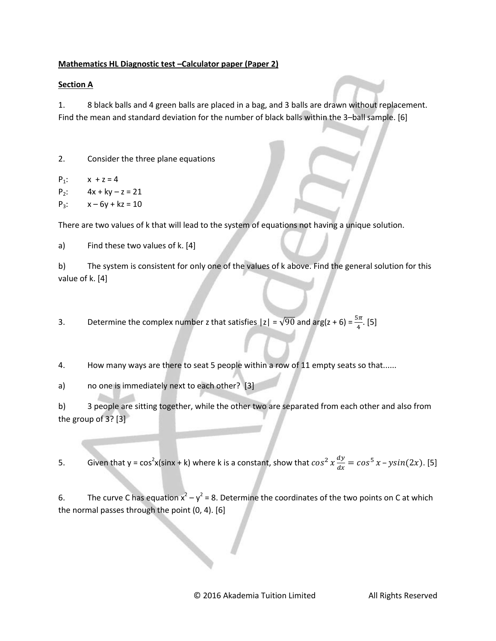### **Mathematics HL Diagnostic test –Calculator paper (Paper 2)**

## **Section A**

1. 8 black balls and 4 green balls are placed in a bag, and 3 balls are drawn without replacement. Find the mean and standard deviation for the number of black balls within the 3–ball sample. [6]

2. Consider the three plane equations

 $P_1$ :  $x + z = 4$  $P_2$ :  $4x + ky - z = 21$  $P_3$ :  $x - 6y + kz = 10$ 

There are two values of k that will lead to the system of equations not having a unique solution.

a) Find these two values of k. [4]

b) The system is consistent for only one of the values of k above. Find the general solution for this value of k. [4]

3. Determine the complex number z that satisfies  $|z| = \sqrt{90}$  and arg(z + 6) =  $\frac{3\pi}{4}$ . [5]

4. How many ways are there to seat 5 people within a row of 11 empty seats so that......

a) no one is immediately next to each other? [3]

b) 3 people are sitting together, while the other two are separated from each other and also from the group of 3? [3]

5. Given that y =  $\cos^2 x (\sin x + k)$  where k is a constant, show that  $\cos^2 x \frac{d}{dx}$  $\frac{dy}{dx} = \cos^5 x - \sin(2x)$ . [5]

6. The curve C has equation  $x^2 - y^2 = 8$ . Determine the coordinates of the two points on C at which the normal passes through the point (0, 4). [6]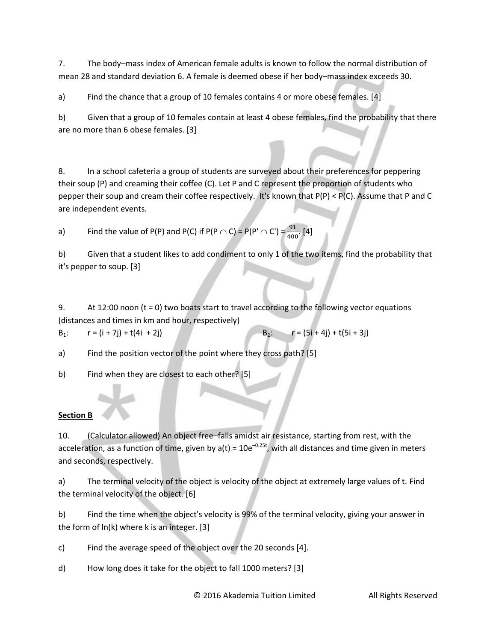7. The body–mass index of American female adults is known to follow the normal distribution of mean 28 and standard deviation 6. A female is deemed obese if her body–mass index exceeds 30.

a) Find the chance that a group of 10 females contains 4 or more obese females. [4]

b) Given that a group of 10 females contain at least 4 obese females, find the probability that there are no more than 6 obese females. [3]

8. In a school cafeteria a group of students are surveyed about their preferences for peppering their soup (P) and creaming their coffee (C). Let P and C represent the proportion of students who pepper their soup and cream their coffee respectively. It's known that P(P) < P(C). Assume that P and C are independent events.

a) Find the value of P(P) and P(C) if P(P  $\cap$  C) = P(P' $\cap$  C') =  $\frac{91}{400}$ . [4]

b) Given that a student likes to add condiment to only 1 of the two items, find the probability that it's pepper to soup. [3]

9. At 12:00 noon  $(t = 0)$  two boats start to travel according to the following vector equations (distances and times in km and hour, respectively)

 $B_1$ :  $r = (i + 7j) + t(4i + 2j)$   $B_2$ :  $r = (5i + 4j) + t(5i + 3j)$ 

a) Find the position vector of the point where they cross path? [5]

b) Find when they are closest to each other? [5]

# **Section B**

10. (Calculator allowed) An object free–falls amidst air resistance, starting from rest, with the acceleration, as a function of time, given by  $a(t) = 10e^{-0.25t}$ , with all distances and time given in meters and seconds, respectively.

a) The terminal velocity of the object is velocity of the object at extremely large values of t. Find the terminal velocity of the object. [6]

b) Find the time when the object's velocity is 99% of the terminal velocity, giving your answer in the form of ln(k) where k is an integer. [3]

c) Find the average speed of the object over the 20 seconds [4].

d) How long does it take for the object to fall 1000 meters? [3]

© 2016 Akademia Tuition Limited All Rights Reserved